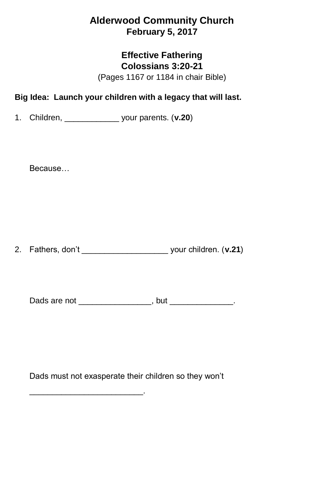# **Alderwood Community Church February 5, 2017**

### **Effective Fathering Colossians 3:20-21**

(Pages 1167 or 1184 in chair Bible)

## **Big Idea: Launch your children with a legacy that will last.**

1. Children, \_\_\_\_\_\_\_\_\_\_\_\_ your parents. (**v.20**)

Because…

2. Fathers, don't \_\_\_\_\_\_\_\_\_\_\_\_\_\_\_\_\_\_\_ your children. (**v.21**)

Dads are not \_\_\_\_\_\_\_\_\_\_\_\_\_\_\_\_, but \_\_\_\_\_\_\_\_\_\_\_\_\_.

Dads must not exasperate their children so they won't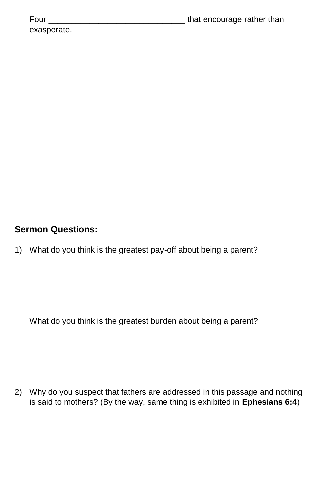| Four        | that encourage rather than |
|-------------|----------------------------|
| exasperate. |                            |

## **Sermon Questions:**

1) What do you think is the greatest pay-off about being a parent?

What do you think is the greatest burden about being a parent?

2) Why do you suspect that fathers are addressed in this passage and nothing is said to mothers? (By the way, same thing is exhibited in **Ephesians 6:4**)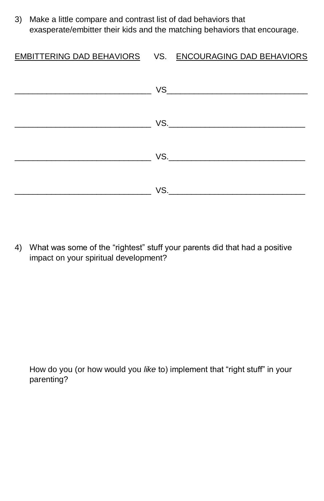3) Make a little compare and contrast list of dad behaviors that exasperate/embitter their kids and the matching behaviors that encourage.

#### EMBITTERING DAD BEHAVIORS VS. ENCOURAGING DAD BEHAVIORS

| <b>VS.</b> The state of the state of the state of the state of the state of the state of the state of the state of the state of the state of the state of the state of the state of the state of the state of the state of the stat |
|-------------------------------------------------------------------------------------------------------------------------------------------------------------------------------------------------------------------------------------|
| VS.                                                                                                                                                                                                                                 |

4) What was some of the "rightest" stuff your parents did that had a positive impact on your spiritual development?

How do you (or how would you *like* to) implement that "right stuff" in your parenting?